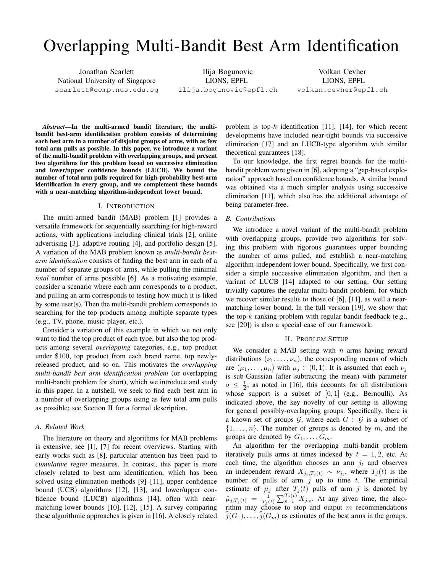# Overlapping Multi-Bandit Best Arm Identification

Jonathan Scarlett National University of Singapore scarlett@comp.nus.edu.sg

Ilija Bogunovic LIONS, EPFL ilija.bogunovic@epfl.ch

Volkan Cevher LIONS, EPFL volkan.cevher@epfl.ch

*Abstract*—In the multi-armed bandit literature, the multibandit best-arm identification problem consists of determining each best arm in a number of disjoint groups of arms, with as few total arm pulls as possible. In this paper, we introduce a variant of the multi-bandit problem with overlapping groups, and present two algorithms for this problem based on successive elimination and lower/upper confidence bounds (LUCB). We bound the number of total arm pulls required for high-probability best-arm identification in every group, and we complement these bounds with a near-matching algorithm-independent lower bound.

#### I. INTRODUCTION

The multi-armed bandit (MAB) problem [1] provides a versatile framework for sequentially searching for high-reward actions, with applications including clinical trials [2], online advertising [3], adaptive routing [4], and portfolio design [5]. A variation of the MAB problem known as *multi-bandit bestarm identification* consists of finding the best arm in each of a number of separate groups of arms, while pulling the minimal *total* number of arms possible [6]. As a motivating example, consider a scenario where each arm corresponds to a product, and pulling an arm corresponds to testing how much it is liked by some user(s). Then the multi-bandit problem corresponds to searching for the top products among multiple separate types (e.g., TV, phone, music player, etc.).

Consider a variation of this example in which we not only want to find the top product of each type, but also the top products among several *overlapping* categories, e.g., top product under \$100, top product from each brand name, top newlyreleased product, and so on. This motivates the *overlapping multi-bandit best arm identification problem* (or overlapping multi-bandit problem for short), which we introduce and study in this paper. In a nutshell, we seek to find each best arm in a number of overlapping groups using as few total arm pulls as possible; see Section II for a formal description.

## *A. Related Work*

The literature on theory and algorithms for MAB problems is extensive; see [1], [7] for recent overviews. Starting with early works such as [8], particular attention has been paid to *cumulative regret* measures. In contrast, this paper is more closely related to best arm identification, which has been solved using elimination methods [9]–[11], upper confidence bound (UCB) algorithms [12], [13], and lower/upper confidence bound (LUCB) algorithms [14], often with nearmatching lower bounds [10], [12], [15]. A survey comparing these algorithmic approaches is given in [16]. A closely related problem is top- $k$  identification [11], [14], for which recent developments have included near-tight bounds via successive elimination [17] and an LUCB-type algorithm with similar theoretical guarantees [18].

To our knowledge, the first regret bounds for the multibandit problem were given in [6], adopting a "gap-based exploration" approach based on confidence bounds. A similar bound was obtained via a much simpler analysis using successive elimination [11], which also has the additional advantage of being parameter-free.

### *B. Contributions*

We introduce a novel variant of the multi-bandit problem with overlapping groups, provide two algorithms for solving this problem with rigorous guarantees upper bounding the number of arms pulled, and establish a near-matching algorithm-independent lower bound. Specifically, we first consider a simple successive elimination algorithm, and then a variant of LUCB [14] adapted to our setting. Our setting trivially captures the regular multi-bandit problem, for which we recover similar results to those of [6], [11], as well a nearmatching lower bound. In the full version [19], we show that the top- $k$  ranking problem with regular bandit feedback (e.g., see [20]) is also a special case of our framework.

#### II. PROBLEM SETUP

We consider a MAB setting with  $n$  arms having reward distributions  $(\nu_1, \ldots, \nu_n)$ , the corresponding means of which are  $(\mu_1, \ldots, \mu_n)$  with  $\mu_i \in (0, 1)$ . It is assumed that each  $\nu_i$ is sub-Gaussian (after subtracting the mean) with parameter  $\sigma \leq \frac{1}{2}$ ; as noted in [16], this accounts for all distributions whose support is a subset of  $[0, 1]$  (e.g., Bernoulli). As indicated above, the key novelty of our setting is allowing for general possibly-overlapping groups. Specifically, there is a known set of groups G, where each  $G \in \mathcal{G}$  is a subset of  $\{1, \ldots, n\}$ . The number of groups is denoted by m, and the groups are denoted by  $G_1, \ldots, G_m$ .

An algorithm for the overlapping multi-bandit problem iteratively pulls arms at times indexed by  $t = 1, 2$ , etc. At each time, the algorithm chooses an arm  $j_t$  and observes an independent reward  $X_{j_t,T_j(t)} \sim \nu_{j_t}$ , where  $T_j(t)$  is the number of pulls of arm  $j$  up to time t. The empirical estimate of  $\mu_j$  after  $T_j(t)$  pulls of arm j is denoted by  $\hat{\mu}_{j,T_j(t)} = \frac{1}{T_j(t)} \sum_{s=1}^{T_j(t)} X_{j,s}$ . At any given time, the algorithm may choose to stop and output  $m$  recommendations  $j(G_1), \ldots, j(G_m)$  as estimates of the best arms in the groups.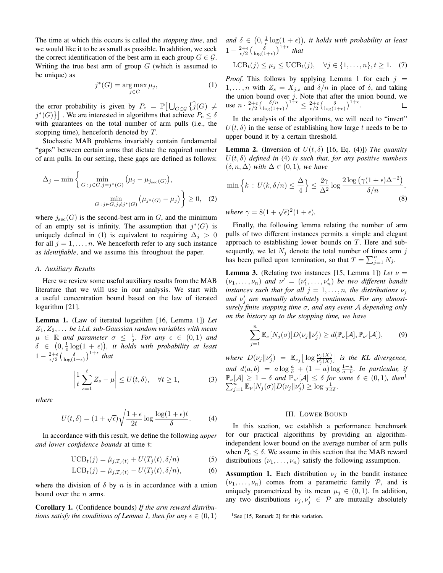The time at which this occurs is called the *stopping time*, and we would like it to be as small as possible. In addition, we seek the correct identification of the best arm in each group  $G \in \mathcal{G}$ . Writing the true best arm of group  $G$  (which is assumed to be unique) as

$$
j^*(G) = \underset{j \in G}{\text{arg max}} \,\mu_j,\tag{1}
$$

the error probability is given by  $P_e = \mathbb{P} \big[ \bigcup_{G \in \mathcal{G}} \{ \widehat{j}(G) \neq \mathbb{R} \} \big]$  $j^*(G)$  . We are interested in algorithms that achieve  $P_e \le \delta$ with guarantees on the total number of arm pulls (i.e., the stopping time), henceforth denoted by T.

Stochastic MAB problems invariably contain fundamental "gaps" between certain arms that dictate the required number of arm pulls. In our setting, these gaps are defined as follows:

$$
\Delta_j = \min \left\{ \min_{G \,:\, j \in G, j = j^*(G)} \left( \mu_j - \mu_{j_{\text{sec}}(G)} \right), \min_{G \,:\, j \in G, j \neq j^*(G)} \left( \mu_{j^*(G)} - \mu_j \right) \right\} \ge 0, \quad (2)
$$

where  $j_{\rm sec}(G)$  is the second-best arm in G, and the minimum of an empty set is infinity. The assumption that  $j^*(G)$  is uniquely defined in (1) is equivalent to requiring  $\Delta_i > 0$ for all  $j = 1, \ldots, n$ . We henceforth refer to any such instance as *identifiable*, and we assume this throughout the paper.

#### *A. Auxiliary Results*

Here we review some useful auxiliary results from the MAB literature that we will use in our analysis. We start with a useful concentration bound based on the law of iterated logarithm [21].

Lemma 1. (Law of iterated logarithm [16, Lemma 1]) *Let*  $Z_1, Z_2, \ldots$  be *i.i.d.* sub-Gaussian random variables with mean  $\mu \in \mathbb{R}$  and parameter  $\sigma \leq \frac{1}{2}$ . For any  $\epsilon \in (0,1)$  and  $\delta \in (0, \frac{1}{e} \log(1+\epsilon)),$  it holds with probability at least  $1 - \frac{2+\epsilon}{\epsilon/2} \left( \frac{\delta}{\log(1+\epsilon)} \right)^{1+\epsilon}$  that

$$
\left|\frac{1}{t}\sum_{s=1}^{t}Z_{s}-\mu\right| \leq U(t,\delta), \quad \forall t \geq 1,
$$
 (3)

*where*

$$
U(t,\delta) = (1+\sqrt{\epsilon})\sqrt{\frac{1+\epsilon}{2t}\log\frac{\log(1+\epsilon)t}{\delta}}.\tag{4}
$$

In accordance with this result, we define the following *upper and lower confidence bounds* at time t:

$$
\text{UCB}_{t}(j) = \hat{\mu}_{j,T_j(t)} + U(T_j(t), \delta/n) \tag{5}
$$

$$
LCB_t(j) = \hat{\mu}_{j,T_j(t)} - U(T_j(t), \delta/n),
$$
 (6)

where the division of  $\delta$  by n is in accordance with a union bound over the  $n$  arms.

Corollary 1. (Confidence bounds) *If the arm reward distributions satisfy the conditions of Lemma 1, then for any*  $\epsilon \in (0,1)$  and  $\delta \in (0, \frac{1}{e} \log(1 + \epsilon))$ , it holds with probability at least  $1 - \frac{2+\epsilon}{\epsilon/2} \left( \frac{\delta}{\log(1+\epsilon)} \right)^{1+\epsilon}$  that

$$
\text{LCB}_t(j) \le \mu_j \le \text{UCB}_t(j), \quad \forall j \in \{1, \dots, n\}, t \ge 1. \tag{7}
$$

*Proof.* This follows by applying Lemma 1 for each  $j =$  $1, \ldots, n$  with  $Z_s = X_{j,s}$  and  $\delta/n$  in place of  $\delta$ , and taking the union bound over  $j$ . Note that after the union bound, we use  $n \cdot \frac{2+\epsilon}{\epsilon/2} \left( \frac{\delta/n}{\log(1+\epsilon)} \right)^{1+\epsilon} \leq \frac{2+\epsilon}{\epsilon/2} \left( \frac{\delta}{\log(1+\epsilon)} \right)^{1+\epsilon}.$ 

In the analysis of the algorithms, we will need to "invert"  $U(t, \delta)$  in the sense of establishing how large t needs to be to upper bound it by a certain threshold.

**Lemma 2.** (Inversion of  $U(t, \delta)$  [16, Eq. (4)]) *The quantity*  $U(t, \delta)$  *defined in* (4) *is such that, for any positive numbers*  $(\delta, n, \Delta)$  *with*  $\Delta \in (0, 1)$ *, we have* 

$$
\min\left\{k \,:\, U(k,\delta/n) \le \frac{\Delta}{4}\right\} \le \frac{2\gamma}{\Delta^2} \log \frac{2\log\left(\gamma(1+\epsilon)\Delta^{-2}\right)}{\delta/n},\tag{8}
$$

where  $\gamma = 8(1 + \sqrt{\epsilon})^2(1 + \epsilon)$ .

Finally, the following lemma relating the number of arm pulls of two different instances permits a simple and elegant approach to establishing lower bounds on T. Here and subsequently, we let  $N_i$  denote the total number of times arm j has been pulled upon termination, so that  $T = \sum_{j=1}^{n} N_j$ .

**Lemma 3.** (Relating two instances [15, Lemma 1]) Let  $\nu$  =  $(\nu_1, \ldots, \nu_n)$  and  $\nu' = (\nu'_1, \ldots, \nu'_n)$  be two different bandit *instances such that for all*  $j = 1, ..., n$ *, the distributions*  $\nu_j$ and  $\nu'_j$  are mutually absolutely continuous. For any almost*surely finite stopping time* σ*, and any event* A *depending only on the history up to the stopping time, we have*

$$
\sum_{j=1}^{n} \mathbb{E}_{\nu}[N_j(\sigma)] D(\nu_j \| \nu'_j) \ge d(\mathbb{P}_{\nu}[\mathcal{A}], \mathbb{P}_{\nu'}[\mathcal{A}]),
$$
 (9)

where  $D(\nu_j \|\nu'_j) = \mathbb{E}_{\nu_j} \big[ \log \frac{\nu_j(X)}{\nu'_j(X)} \big]$  is the KL divergence, and  $d(a,b) = a \log \frac{a}{b} + (1-a) \log \frac{1-a}{a-b}$ . In particular, if  $\mathbb{P}_{\nu}[A] \geq 1 - \delta$  and  $\mathbb{P}_{\nu'}[A] \leq \delta$  for some  $\delta \in (0,1)$ , then<sup>1</sup>  $\sum_{j=1}^{\tilde{n}} \mathbb{E}_{\nu}[N_j(\sigma)] D(\nu_j \| \nu_j') \geq \log \frac{1}{2.4\delta}.$ 

#### III. LOWER BOUND

In this section, we establish a performance benchmark for our practical algorithms by providing an algorithmindependent lower bound on the average number of arm pulls when  $P_e \leq \delta$ . We assume in this section that the MAB reward distributions  $(\nu_1, \ldots, \nu_n)$  satisfy the following assumption.

**Assumption 1.** Each distribution  $\nu_j$  in the bandit instance  $(\nu_1, \ldots, \nu_n)$  comes from a parametric family  $\mathcal{P}$ , and is uniquely parametrized by its mean  $\mu_j \in (0,1)$ . In addition, any two distributions  $\nu_j, \nu'_j \in \mathcal{P}$  are mutually absolutely

<sup>1</sup>See [15, Remark 2] for this variation.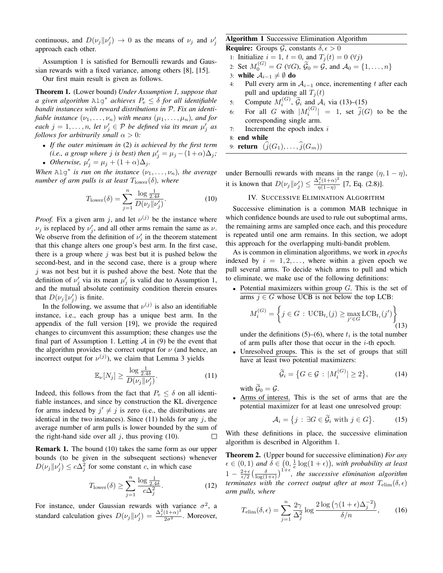continuous, and  $D(\nu_j||\nu'_j) \rightarrow 0$  as the means of  $\nu_j$  and  $\nu'_j$ approach each other.

Assumption 1 is satisfied for Bernoulli rewards and Gaussian rewards with a fixed variance, among others [8], [15].

Our first main result is given as follows.

Theorem 1. (Lower bound) *Under Assumption 1, suppose that a given algorithm* Alg<sup>∗</sup> *achieves* P<sup>e</sup> ≤ δ *for all identifiable bandit instances with reward distributions in* P*. Fix an identifiable instance*  $(\nu_1, \ldots, \nu_n)$  *with means*  $(\mu_1, \ldots, \mu_n)$ *, and for*  $\mathit{each} \; j = 1, \ldots, n, \; \mathit{let} \; \nu'_j \in \mathcal{P} \; \mathit{be} \; \mathit{defined} \; \mathit{via} \; \mathit{its} \; \mathit{mean} \; \mu'_j \; \mathit{as}$ *follows for arbitrarily small*  $\alpha > 0$ *:* 

- *If the outer minimum in* (2) *is achieved by the first term (i.e., a group where j is best) then*  $\mu'_j = \mu_j - (1 + \alpha)\Delta_j$ ;
- *Otherwise*,  $\mu'_j = \mu_j + (1 + \alpha)\Delta_j$ *.*

When  $\text{Alg}^*$  *is run on the instance*  $(\nu_1, \dots, \nu_n)$ *, the average number of arm pulls is at least*  $T_{\text{lower}}(\delta)$ *, where* 

$$
T_{\text{lower}}(\delta) = \sum_{j=1}^{n} \frac{\log \frac{1}{2.4\delta}}{D(\nu_j || \nu'_j)}.
$$
 (10)

*Proof.* Fix a given arm j, and let  $\nu^{(j)}$  be the instance where  $\nu_j$  is replaced by  $\nu'_j$ , and all other arms remain the same as  $\nu$ . We observe from the definition of  $\nu'_j$  in the theorem statement that this change alters one group's best arm. In the first case, there is a group where  $j$  was best but it is pushed below the second-best, and in the second case, there is a group where  $j$  was not best but it is pushed above the best. Note that the definition of  $\nu'_j$  via its mean  $\mu'_j$  is valid due to Assumption 1, and the mutual absolute continuity condition therein ensures that  $D(\nu_j || \nu'_j)$  is finite.

In the following, we assume that  $\nu^{(j)}$  is also an identifiable instance, i.e., each group has a unique best arm. In the appendix of the full version [19], we provide the required changes to circumvent this assumption; these changes use the final part of Assumption 1. Letting  $A$  in (9) be the event that the algorithm provides the correct output for  $\nu$  (and hence, an incorrect output for  $\nu^{(j)}$ ), we claim that Lemma 3 yields

$$
\mathbb{E}_{\nu}[N_j] \ge \frac{\log \frac{1}{2.4\delta}}{D(\nu_j \| \nu'_j)}.
$$
\n(11)

Indeed, this follows from the fact that  $P_e \le \delta$  on all identifiable instances, and since by construction the KL divergence for arms indexed by  $j' \neq j$  is zero (i.e., the distributions are identical in the two instances). Since  $(11)$  holds for any j, the average number of arm pulls is lower bounded by the sum of the right-hand side over all  $j$ , thus proving (10).  $\Box$ 

Remark 1. The bound (10) takes the same form as our upper bounds (to be given in the subsequent sections) whenever  $D(\nu_j || \nu'_j) \leq c\Delta_j^2$  for some constant c, in which case

$$
T_{\text{lower}}(\delta) \ge \sum_{j=1}^{n} \frac{\log \frac{1}{2.4\delta}}{c\Delta_j^2}.
$$
 (12)

For instance, under Gaussian rewards with variance  $\sigma^2$ , a standard calculation gives  $D(\nu_j || \nu'_j) = \frac{\Delta_j^2 (1+\alpha)^2}{2\sigma^2}$ . Moreover,

# Algorithm 1 Successive Elimination Algorithm

**Require:** Groups  $\mathcal{G}$ , constants  $\delta, \epsilon > 0$ 

- 1: Initialize  $i = 1$ ,  $t = 0$ , and  $T_i(t) = 0$  ( $\forall j$ )
- 2: Set  $M_0^{(G)} = G \ (\forall G)$ ,  $\widetilde{G}_0 = G$ , and  $\mathcal{A}_0 = \{1, \dots, n\}$
- 3: while  $A_{i-1} \neq ∅$  do
- 4: Pull every arm in  $A_{i-1}$  once, incrementing t after each pull and updating all  $T_i(t)$
- 5: Compute  $M_i^{(G)}$ ,  $\widetilde{G}_i$  and  $A_i$  via (13)–(15)
- 6: For all G with  $|M_i^{(G)}| = 1$ , set  $\hat{j}(G)$  to be the corresponding single arm.
- 7: Increment the epoch index  $i$

8: end while

9: **return**  $(\widehat{j}(G_1), \ldots, \widehat{j}(G_m))$ 

under Bernoulli rewards with means in the range  $(\eta, 1 - \eta)$ , it is known that  $D(\nu_j||\nu'_j) \leq \frac{\Delta_j^2(1+\alpha)^2}{\eta(1-\eta)}$  $\frac{\gamma_j(1+\alpha)}{\eta(1-\eta)}$  [7, Eq. (2.8)].

### IV. SUCCESSIVE ELIMINATION ALGORITHM

Successive elimination is a common MAB technique in which confidence bounds are used to rule out suboptimal arms, the remaining arms are sampled once each, and this procedure is repeated until one arm remains. In this section, we adopt this approach for the overlapping multi-bandit problem.

As is common in elimination algorithms, we work in *epochs* indexed by  $i = 1, 2, \ldots$ , where within a given epoch we pull several arms. To decide which arms to pull and which to eliminate, we make use of the following definitions:

• Potential maximizers within group  $G$ . This is the set of arms  $j \in G$  whose UCB is not below the top LCB:

$$
M_i^{(G)} = \left\{ j \in G : \mathrm{UCB}_{t_i}(j) \ge \max_{j' \in G} \mathrm{LCB}_{t_i}(j') \right\}
$$
(13)

under the definitions (5)–(6), where  $t_i$  is the total number of arm pulls after those that occur in the  $i$ -th epoch.

Unresolved groups. This is the set of groups that still have at least two potential maximizers:

$$
\widetilde{\mathcal{G}}_i = \left\{ G \in \mathcal{G} \, : \, |M_i^{(G)}| \ge 2 \right\},\tag{14}
$$

with  $\widetilde{\mathcal{G}}_0 = \mathcal{G}$ .

• Arms of interest. This is the set of arms that are the potential maximizer for at least one unresolved group:

$$
\mathcal{A}_i = \{ j : \exists G \in \widetilde{\mathcal{G}}_i \text{ with } j \in G \}. \tag{15}
$$

With these definitions in place, the successive elimination algorithm is described in Algorithm 1.

Theorem 2. (Upper bound for successive elimination) *For any*  $\epsilon \in (0,1)$  and  $\delta \in (0, \frac{1}{\epsilon} \log(1+\epsilon)),$  with probability at least  $1 - \frac{2+\epsilon}{\epsilon/2} \left( \frac{\delta}{\log(1+\epsilon)} \right)^{1+\epsilon}$ , the successive elimination algorithm *terminates with the correct output after at most*  $T_{\text{elim}}(\delta, \epsilon)$ *arm pulls, where*

$$
T_{\text{elim}}(\delta, \epsilon) = \sum_{j=1}^{n} \frac{2\gamma}{\Delta_j^2} \log \frac{2 \log \left( \gamma (1 + \epsilon) \Delta_j^{-2} \right)}{\delta/n}, \qquad (16)
$$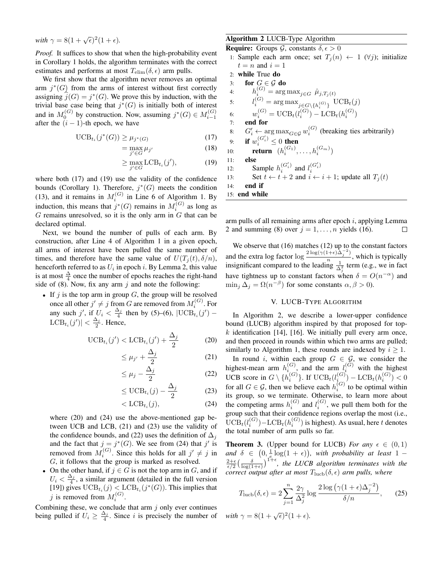with  $\gamma = 8(1 + \sqrt{\epsilon})^2(1 + \epsilon)$ .

*Proof.* It suffices to show that when the high-probability event in Corollary 1 holds, the algorithm terminates with the correct estimates and performs at most  $T_{\text{elim}}(\delta, \epsilon)$  arm pulls.

We first show that the algorithm never removes an optimal arm  $j^*(G)$  from the arms of interest without first correctly assigning  $\widehat{j}(G) = j^*(G)$ . We prove this by induction, with the trivial base case being that  $j^*(G)$  is initially both of interest and in  $M_0^{(G)}$  by construction. Now, assuming  $j^*(G) \in M_{i-1}^{(G)}$ after the  $(i - 1)$ -th epoch, we have

$$
\text{UCB}_{t_i}(j^*(G)) \ge \mu_{j^*(G)}\tag{17}
$$

$$
=\max_{j'\in G}\mu_{j'}\tag{18}
$$

$$
\geq \max_{j' \in G} \text{LCB}_{t_i}(j'),\tag{19}
$$

where both (17) and (19) use the validity of the confidence bounds (Corollary 1). Therefore,  $j^*(G)$  meets the condition (13), and it remains in  $M_i^{(G)}$  in Line 6 of Algorithm 1. By induction, this means that  $j^*(G)$  remains in  $M_i^{(G)}$  as long as  $G$  remains unresolved, so it is the only arm in  $G$  that can be declared optimal.

Next, we bound the number of pulls of each arm. By construction, after Line 4 of Algorithm 1 in a given epoch, all arms of interest have been pulled the same number of times, and therefore have the same value of  $U(T_i(t), \delta/n)$ , henceforth referred to as  $U_i$  in epoch i. By Lemma 2, this value is at most  $\frac{\Delta}{4}$  once the number of epochs reaches the right-hand side of (8). Now, fix any arm  $j$  and note the following:

• If  $j$  is the top arm in group  $G$ , the group will be resolved once all other  $j' \neq j$  from G are removed from  $M_i^{(G)}$ . For any such j', if  $U_i < \frac{\Delta_j}{4}$  then by (5)–(6),  $|\text{UCB}_{t_i}(j') LCB_{t_i}(j')| < \frac{\Delta_j}{2}$ . Hence,

$$
\text{UCB}_{t_i}(j') < \text{LCB}_{t_i}(j') + \frac{\Delta_j}{2} \tag{20}
$$

$$
\leq \mu_{j'} + \frac{\Delta_j}{2} \tag{21}
$$

$$
\leq \mu_j - \frac{\Delta_j}{2} \tag{22}
$$

$$
\leq \text{UCB}_{t_i}(j) - \frac{\Delta_j}{2} \tag{23}
$$

$$
\langle \text{LCB}_{t_i}(j), \tag{24}
$$

where (20) and (24) use the above-mentioned gap between UCB and LCB, (21) and (23) use the validity of the confidence bounds, and (22) uses the definition of  $\Delta_i$ and the fact that  $j = j^*(G)$ . We see from (24) that j' is removed from  $M_i^{(G)}$ . Since this holds for all  $j' \neq j$  in G, it follows that the group is marked as resolved.

• On the other hand, if  $j \in G$  is not the top arm in G, and if  $U_i < \frac{\Delta_j}{4}$ , a similar argument (detailed in the full version [19]) gives  $\mathrm{UCB}_{t_i}(j) < \mathrm{LCB}_{t_i}(j^*(G))$ . This implies that j is removed from  $M_i^{(G)}$ .

Combining these, we conclude that arm  $j$  only ever continues being pulled if  $U_i \ge \frac{\Delta_i}{4}$ . Since i is precisely the number of *with*  $\gamma = 8(1 + \sqrt{\epsilon})^2(1 + \epsilon)$ .

## Algorithm 2 LUCB-Type Algorithm

**Require:** Groups  $\mathcal{G}$ , constants  $\delta, \epsilon > 0$ 1: Sample each arm once; set  $T_i(n) \leftarrow 1 \ (\forall j)$ ; initialize  $t = n$  and  $i = 1$ 2: while True do 3: for  $G \in \mathcal{G}$  do 4:  $h_i^{(G)} = \arg \max_{j \in G} \hat{\mu}_{j,T_j(t)}$ 5:  $l_i^{(G)} = \arg \max_{j \in G \setminus \{h_i^{(G)}\}} \text{UCB}_t(j)$ 6:  $w_i^{(G)} = \text{UCB}_t(l_i^{(G)}) - \text{LCB}_t(h_i^{(G)})$ 7: end for 8:  $G'_{i} \leftarrow \arg \max_{G \in \mathcal{G}} w_{i}^{(G)}$  (breaking ties arbitrarily) 9: if  $w_i^{(G_i')} \leq 0$  then 10: **return**  $(h_i^{(G_1)}, \ldots, h_i^{(G_m)})$ 11: else 12: Sample  $h_i^{(G_i')}$  $\binom{G'_i}{i}$  and  $l_i^{(G'_i)}$ 12. Sample  $n_i$  and  $i_i$ <br>
13: Set  $t \leftarrow t + 2$  and  $i \leftarrow i + 1$ ; update all  $T_j(t)$ 14: end if 15: end while

arm pulls of all remaining arms after epoch  $i$ , applying Lemma 2 and summing (8) over  $j = 1, \ldots, n$  yields (16). П

We observe that (16) matches (12) up to the constant factors and the extra log factor  $\log \frac{2 \log(\gamma(1+\epsilon) \hat{\Delta}_j^{-2})}{n}$  $\frac{n}{n}$ , which is typically insignificant compared to the leading  $\frac{1}{\Delta_i^2}$  term (e.g., we in fact have tightness up to constant factors when  $\delta = O(n^{-\alpha})$  and  $\min_j \Delta_j = \Omega(n^{-\beta})$  for some constants  $\alpha, \beta > 0$ ).

## V. LUCB-TYPE ALGORITHM

In Algorithm 2, we describe a lower-upper confidence bound (LUCB) algorithm inspired by that proposed for top $k$  identification [14], [16]. We initially pull every arm once, and then proceed in rounds within which two arms are pulled; similarly to Algorithm 1, these rounds are indexed by  $i \geq 1$ .

In round i, within each group  $G \in \mathcal{G}$ , we consider the highest-mean arm  $h_{i}^{(G)}$ , and the arm  $l_i^{(G)}$  with the highest UCB score in  $G \setminus \{h_i^{(G)}\}$ . If  $UCB_t(l_{i_{(G)}}^{(G)}) - LCB_t(h_i^{(G)}) < 0$ for all  $G \in \mathcal{G}$ , then we believe each  $h_i^{(G)}$  to be optimal within its group, so we terminate. Otherwise, to learn more about the competing arms  $h_i^{(G)}$  and  $l_i^{(G)}$ , we pull them both for the group such that their confidence regions overlap the most (i.e.,  $\mathrm{UCB}_{t}(l_{i}^{(G)}) - \mathrm{LCB}_{t}(h_{i}^{(G)})$  is highest). As usual, here t denotes the total number of arm pulls so far.

**Theorem 3.** (Upper bound for LUCB) *For any*  $\epsilon \in (0,1)$ and  $\delta \in (0, \frac{1}{\epsilon} \log(1 + \epsilon))$ , with probability at least 1 −  $\frac{2+\epsilon}{\epsilon/2} \left( \frac{\delta}{\log(1+\epsilon)} \right)^{1+\epsilon}$ , the LUCB algorithm terminates with the *correct output after at most*  $T_{\text{luch}}(\delta, \epsilon)$  *arm pulls, where* 

$$
T_{\text{luch}}(\delta,\epsilon) = 2\sum_{j=1}^{n} \frac{2\gamma}{\Delta_j^2} \log \frac{2\log\left(\gamma(1+\epsilon)\Delta_j^{-2}\right)}{\delta/n},\qquad(25)
$$